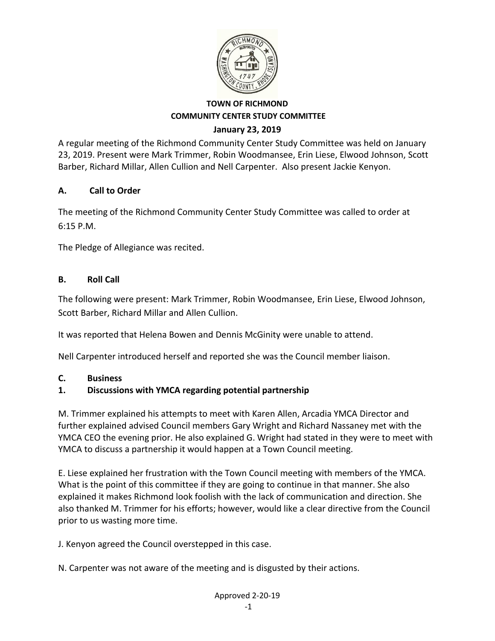

A regular meeting of the Richmond Community Center Study Committee was held on January 23, 2019. Present were Mark Trimmer, Robin Woodmansee, Erin Liese, Elwood Johnson, Scott Barber, Richard Millar, Allen Cullion and Nell Carpenter. Also present Jackie Kenyon.

### **A. Call to Order**

The meeting of the Richmond Community Center Study Committee was called to order at 6:15 P.M.

The Pledge of Allegiance was recited.

### **B. Roll Call**

The following were present: Mark Trimmer, Robin Woodmansee, Erin Liese, Elwood Johnson, Scott Barber, Richard Millar and Allen Cullion.

It was reported that Helena Bowen and Dennis McGinity were unable to attend.

Nell Carpenter introduced herself and reported she was the Council member liaison.

#### **C. Business**

## **1. Discussions with YMCA regarding potential partnership**

M. Trimmer explained his attempts to meet with Karen Allen, Arcadia YMCA Director and further explained advised Council members Gary Wright and Richard Nassaney met with the YMCA CEO the evening prior. He also explained G. Wright had stated in they were to meet with YMCA to discuss a partnership it would happen at a Town Council meeting.

E. Liese explained her frustration with the Town Council meeting with members of the YMCA. What is the point of this committee if they are going to continue in that manner. She also explained it makes Richmond look foolish with the lack of communication and direction. She also thanked M. Trimmer for his efforts; however, would like a clear directive from the Council prior to us wasting more time.

J. Kenyon agreed the Council overstepped in this case.

N. Carpenter was not aware of the meeting and is disgusted by their actions.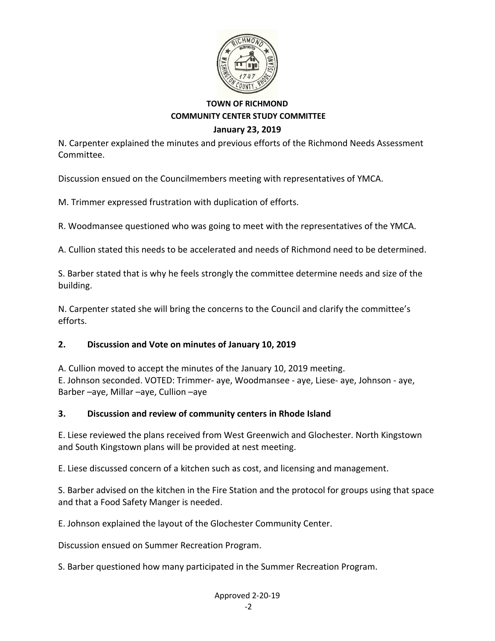

N. Carpenter explained the minutes and previous efforts of the Richmond Needs Assessment Committee.

Discussion ensued on the Councilmembers meeting with representatives of YMCA.

M. Trimmer expressed frustration with duplication of efforts.

R. Woodmansee questioned who was going to meet with the representatives of the YMCA.

A. Cullion stated this needs to be accelerated and needs of Richmond need to be determined.

S. Barber stated that is why he feels strongly the committee determine needs and size of the building.

N. Carpenter stated she will bring the concerns to the Council and clarify the committee's efforts.

## **2. Discussion and Vote on minutes of January 10, 2019**

A. Cullion moved to accept the minutes of the January 10, 2019 meeting. E. Johnson seconded. VOTED: Trimmer- aye, Woodmansee ‐ aye, Liese‐ aye, Johnson ‐ aye, Barber –aye, Millar –aye, Cullion –aye

#### **3. Discussion and review of community centers in Rhode Island**

E. Liese reviewed the plans received from West Greenwich and Glochester. North Kingstown and South Kingstown plans will be provided at nest meeting.

E. Liese discussed concern of a kitchen such as cost, and licensing and management.

S. Barber advised on the kitchen in the Fire Station and the protocol for groups using that space and that a Food Safety Manger is needed.

E. Johnson explained the layout of the Glochester Community Center.

Discussion ensued on Summer Recreation Program.

S. Barber questioned how many participated in the Summer Recreation Program.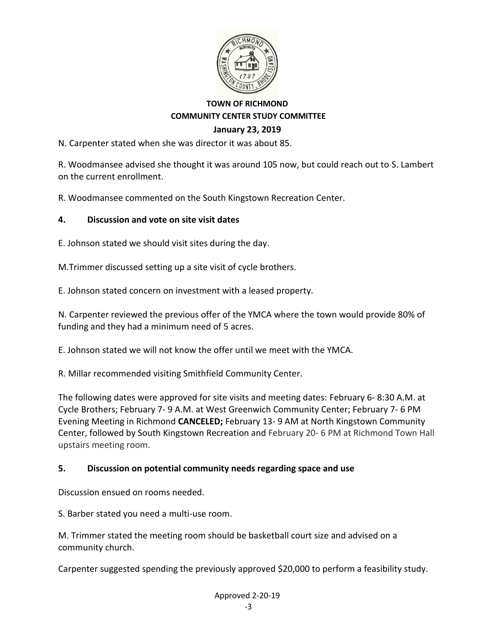

N. Carpenter stated when she was director it was about 85.

R. Woodmansee advised she thought it was around 105 now, but could reach out to S. Lambert on the current enrollment.

R. Woodmansee commented on the South Kingstown Recreation Center.

#### **4. Discussion and vote on site visit dates**

E. Johnson stated we should visit sites during the day.

M.Trimmer discussed setting up a site visit of cycle brothers.

E. Johnson stated concern on investment with a leased property.

N. Carpenter reviewed the previous offer of the YMCA where the town would provide 80% of funding and they had a minimum need of 5 acres.

E. Johnson stated we will not know the offer until we meet with the YMCA.

R. Millar recommended visiting Smithfield Community Center.

The following dates were approved for site visits and meeting dates: February 6- 8:30 A.M. at Cycle Brothers; February 7- 9 A.M. at West Greenwich Community Center; February 7- 6 PM Evening Meeting in Richmond **CANCELED;** February 13- 9 AM at North Kingstown Community Center, followed by South Kingstown Recreation and February 20- 6 PM at Richmond Town Hall upstairs meeting room.

#### **5. Discussion on potential community needs regarding space and use**

Discussion ensued on rooms needed.

S. Barber stated you need a multi-use room.

M. Trimmer stated the meeting room should be basketball court size and advised on a community church.

Carpenter suggested spending the previously approved \$20,000 to perform a feasibility study.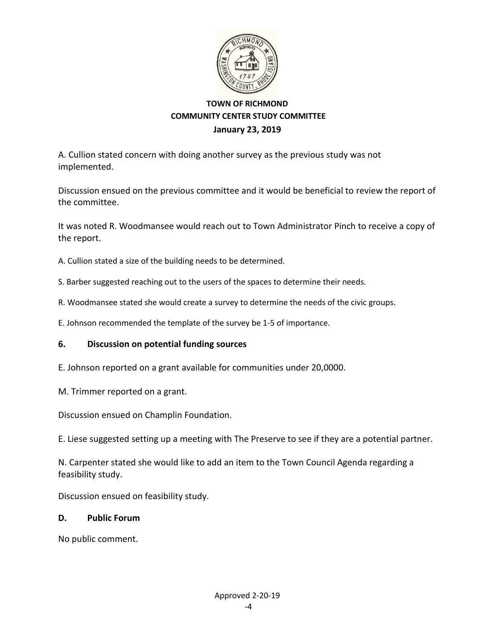

A. Cullion stated concern with doing another survey as the previous study was not implemented.

Discussion ensued on the previous committee and it would be beneficial to review the report of the committee.

It was noted R. Woodmansee would reach out to Town Administrator Pinch to receive a copy of the report.

A. Cullion stated a size of the building needs to be determined.

- S. Barber suggested reaching out to the users of the spaces to determine their needs.
- R. Woodmansee stated she would create a survey to determine the needs of the civic groups.

E. Johnson recommended the template of the survey be 1-5 of importance.

#### **6. Discussion on potential funding sources**

- E. Johnson reported on a grant available for communities under 20,0000.
- M. Trimmer reported on a grant.

Discussion ensued on Champlin Foundation.

E. Liese suggested setting up a meeting with The Preserve to see if they are a potential partner.

N. Carpenter stated she would like to add an item to the Town Council Agenda regarding a feasibility study.

Discussion ensued on feasibility study.

#### **D. Public Forum**

No public comment.